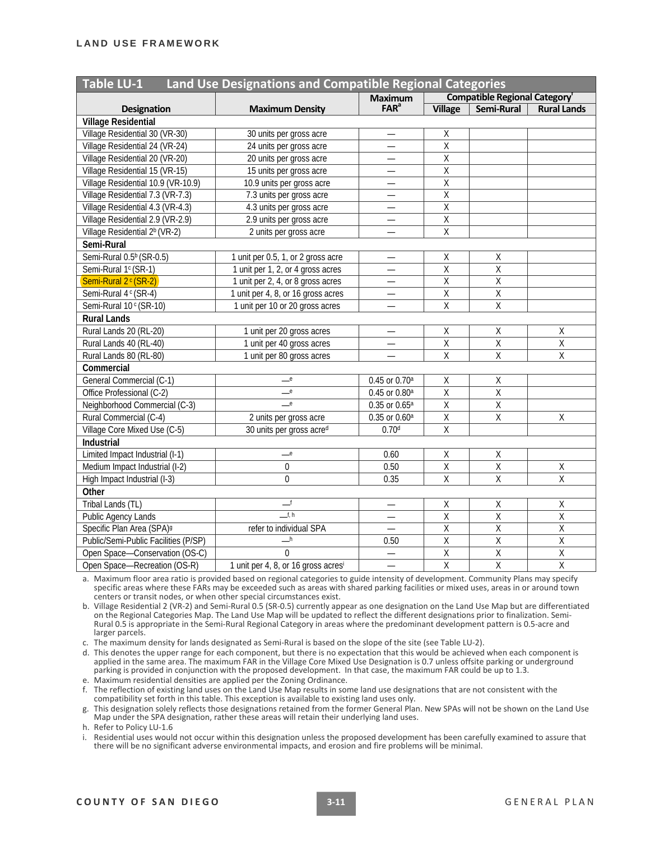| <b>Table LU-1</b><br>Land Use Designations and Compatible Regional Categories |                                                 |                           |                                     |                         |                         |  |  |
|-------------------------------------------------------------------------------|-------------------------------------------------|---------------------------|-------------------------------------|-------------------------|-------------------------|--|--|
|                                                                               |                                                 | <b>Maximum</b>            | <b>Compatible Regional Category</b> |                         |                         |  |  |
| <b>Designation</b>                                                            | <b>Maximum Density</b>                          | $FAR^a$                   | <b>Village</b>                      | Semi-Rural              | <b>Rural Lands</b>      |  |  |
| Village Residential                                                           |                                                 |                           |                                     |                         |                         |  |  |
| Village Residential 30 (VR-30)                                                | 30 units per gross acre                         |                           | Χ                                   |                         |                         |  |  |
| Village Residential 24 (VR-24)                                                | 24 units per gross acre                         | $\overline{\phantom{0}}$  | $\overline{X}$                      |                         |                         |  |  |
| Village Residential 20 (VR-20)                                                | 20 units per gross acre                         | $\overline{\phantom{0}}$  | $\overline{X}$                      |                         |                         |  |  |
| Village Residential 15 (VR-15)                                                | 15 units per gross acre                         | —                         | $\overline{X}$                      |                         |                         |  |  |
| Village Residential 10.9 (VR-10.9)                                            | 10.9 units per gross acre                       | $\overline{\phantom{0}}$  | $\overline{\mathsf{x}}$             |                         |                         |  |  |
| Village Residential 7.3 (VR-7.3)                                              | 7.3 units per gross acre                        |                           | $\overline{\mathsf{x}}$             |                         |                         |  |  |
| Village Residential 4.3 (VR-4.3)                                              | 4.3 units per gross acre                        |                           | $\overline{X}$                      |                         |                         |  |  |
| Village Residential 2.9 (VR-2.9)                                              | 2.9 units per gross acre                        |                           | Χ                                   |                         |                         |  |  |
| Village Residential 2 <sup>b</sup> (VR-2)                                     | 2 units per gross acre                          | $\overline{\phantom{0}}$  | $\overline{X}$                      |                         |                         |  |  |
| Semi-Rural                                                                    |                                                 |                           |                                     |                         |                         |  |  |
| Semi-Rural 0.5 <sup>b</sup> (SR-0.5)                                          | 1 unit per 0.5, 1, or 2 gross acre              | $\overline{\phantom{0}}$  | Χ                                   | X                       |                         |  |  |
| Semi-Rural 1 <sup>c</sup> (SR-1)                                              | 1 unit per 1, 2, or 4 gross acres               | $\overline{\phantom{0}}$  | $\overline{\mathsf{x}}$             | $\overline{\mathsf{x}}$ |                         |  |  |
| Semi-Rural 2 <sup>c</sup> (SR-2)                                              | 1 unit per 2, 4, or 8 gross acres               | —                         | $\overline{\mathsf{x}}$             | $\overline{X}$          |                         |  |  |
| Semi-Rural 4 c (SR-4)                                                         | 1 unit per 4, 8, or 16 gross acres              |                           | $\overline{\mathsf{x}}$             | $\overline{X}$          |                         |  |  |
| Semi-Rural 10c (SR-10)                                                        | 1 unit per 10 or 20 gross acres                 |                           | $\overline{\mathsf{x}}$             | $\overline{X}$          |                         |  |  |
| <b>Rural Lands</b>                                                            |                                                 |                           |                                     |                         |                         |  |  |
| Rural Lands 20 (RL-20)                                                        | 1 unit per 20 gross acres                       |                           | Χ                                   | $\mathsf X$             | $\mathsf X$             |  |  |
| Rural Lands 40 (RL-40)                                                        | 1 unit per 40 gross acres                       | $\overline{\phantom{0}}$  | $\overline{\mathsf{x}}$             | $\overline{X}$          | $\overline{\mathsf{x}}$ |  |  |
| Rural Lands 80 (RL-80)                                                        | 1 unit per 80 gross acres                       | $\overline{\phantom{0}}$  | Χ                                   | $\sf X$                 | $\mathsf X$             |  |  |
| Commercial                                                                    |                                                 |                           |                                     |                         |                         |  |  |
| General Commercial (C-1)                                                      | e                                               | 0.45 or 0.70 <sup>a</sup> | Χ                                   | $\mathsf X$             |                         |  |  |
| Office Professional (C-2)                                                     | e                                               | 0.45 or 0.80 <sup>a</sup> | $\overline{\mathsf{x}}$             | $\overline{X}$          |                         |  |  |
| Neighborhood Commercial (C-3)                                                 | e                                               | $0.35$ or $0.65^{\circ}$  | $\overline{\mathsf{x}}$             | $\overline{X}$          |                         |  |  |
| Rural Commercial (C-4)                                                        | 2 units per gross acre                          | $0.35$ or $0.60a$         | $\overline{\mathsf{x}}$             | $\overline{X}$          | $\overline{X}$          |  |  |
| Village Core Mixed Use (C-5)                                                  | 30 units per gross acred                        | 0.70 <sup>d</sup>         | $\overline{X}$                      |                         |                         |  |  |
| Industrial                                                                    |                                                 |                           |                                     |                         |                         |  |  |
| Limited Impact Industrial (I-1)                                               | e                                               | 0.60                      | Χ                                   | $\mathsf X$             |                         |  |  |
| Medium Impact Industrial (I-2)                                                | $\pmb{0}$                                       | 0.50                      | $\overline{X}$                      | $\overline{X}$          | $\mathsf X$             |  |  |
| High Impact Industrial (I-3)                                                  | $\overline{0}$                                  | 0.35                      | $\overline{\mathsf{x}}$             | $\overline{X}$          | $\overline{\mathsf{x}}$ |  |  |
| Other                                                                         |                                                 |                           |                                     |                         |                         |  |  |
| Tribal Lands (TL)                                                             | __f                                             | —                         | Χ                                   | Χ                       | Χ                       |  |  |
| <b>Public Agency Lands</b>                                                    | f, h                                            | $\qquad \qquad -$         | $\overline{X}$                      | $\overline{\mathsf{x}}$ | $\overline{X}$          |  |  |
| Specific Plan Area (SPA) <sup>9</sup>                                         | refer to individual SPA                         |                           | Χ                                   | $\sf X$                 | $\mathsf X$             |  |  |
| Public/Semi-Public Facilities (P/SP)                                          | $-^{\mathsf{h}}$                                | 0.50                      | $\overline{\mathsf{x}}$             | $\overline{X}$          | $\overline{X}$          |  |  |
| Open Space-Conservation (OS-C)                                                | $\Omega$                                        |                           | $\overline{\mathsf{x}}$             | $\overline{\mathbf{X}}$ | $\overline{\mathsf{X}}$ |  |  |
| Open Space-Recreation (OS-R)                                                  | 1 unit per 4, 8, or 16 gross acres <sup>i</sup> |                           | $\overline{\mathsf{x}}$             | $\overline{X}$          | $\overline{\mathsf{x}}$ |  |  |

a. Maximum floor area ratio is provided based on regional categories to guide intensity of development. Community Plans may specify specific areas where these FARs may be exceeded such as areas with shared parking facilities or mixed uses, areas in or around town centers or transit nodes, or when other special circumstances exist.

b. Village Residential 2 (VR-2) and Semi-Rural 0.5 (SR-0.5) currently appear as one designation on the Land Use Map but are differentiated<br>on the Regional Categories Map. The Land Use Map will be updated to reflect the dif larger parcels.

c. The maximum density for lands designated as Semi‐Rural is based on the slope of the site (see Table LU‐2).

d. This denotes the upper range for each component, but there is no expectation that this would be achieved when each component is applied in the same area. The maximum FAR in the Village Core Mixed Use Designation is 0.7 unless offsite parking or underground parking is provided in conjunction with the proposed development. In that case, the maximum FAR could be up to 1.3. e. Maximum residential densities are applied per the Zoning Ordinance.

f. The reflection of existing land uses on the Land Use Map results in some land use designations that are not consistent with the compatibility set forth in this table. This exception is available to existing land uses only.

g. This designation solely reflects those designations retained from the former General Plan. New SPAs will not be shown on the Land Use Map under the SPA designation, rather these areas will retain their underlying land uses.

h. Refer to Policy LU‐1.6

i. Residential uses would not occur within this designation unless the proposed development has been carefully examined to assure that there will be no significant adverse environmental impacts, and erosion and fire problems will be minimal.